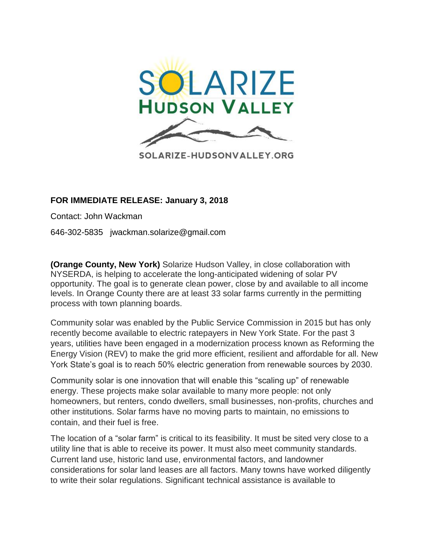

## **FOR IMMEDIATE RELEASE: January 3, 2018**

Contact: John Wackman

646-302-5835 jwackman.solarize@gmail.com

**(Orange County, New York)** Solarize Hudson Valley, in close collaboration with NYSERDA, is helping to accelerate the long-anticipated widening of solar PV opportunity. The goal is to generate clean power, close by and available to all income levels. In Orange County there are at least 33 solar farms currently in the permitting process with town planning boards.

Community solar was enabled by the Public Service Commission in 2015 but has only recently become available to electric ratepayers in New York State. For the past 3 years, utilities have been engaged in a modernization process known as Reforming the Energy Vision (REV) to make the grid more efficient, resilient and affordable for all. New York State's goal is to reach 50% electric generation from renewable sources by 2030.

Community solar is one innovation that will enable this "scaling up" of renewable energy. These projects make solar available to many more people: not only homeowners, but renters, condo dwellers, small businesses, non-profits, churches and other institutions. Solar farms have no moving parts to maintain, no emissions to contain, and their fuel is free.

The location of a "solar farm" is critical to its feasibility. It must be sited very close to a utility line that is able to receive its power. It must also meet community standards. Current land use, historic land use, environmental factors, and landowner considerations for solar land leases are all factors. Many towns have worked diligently to write their solar regulations. Significant technical assistance is available to